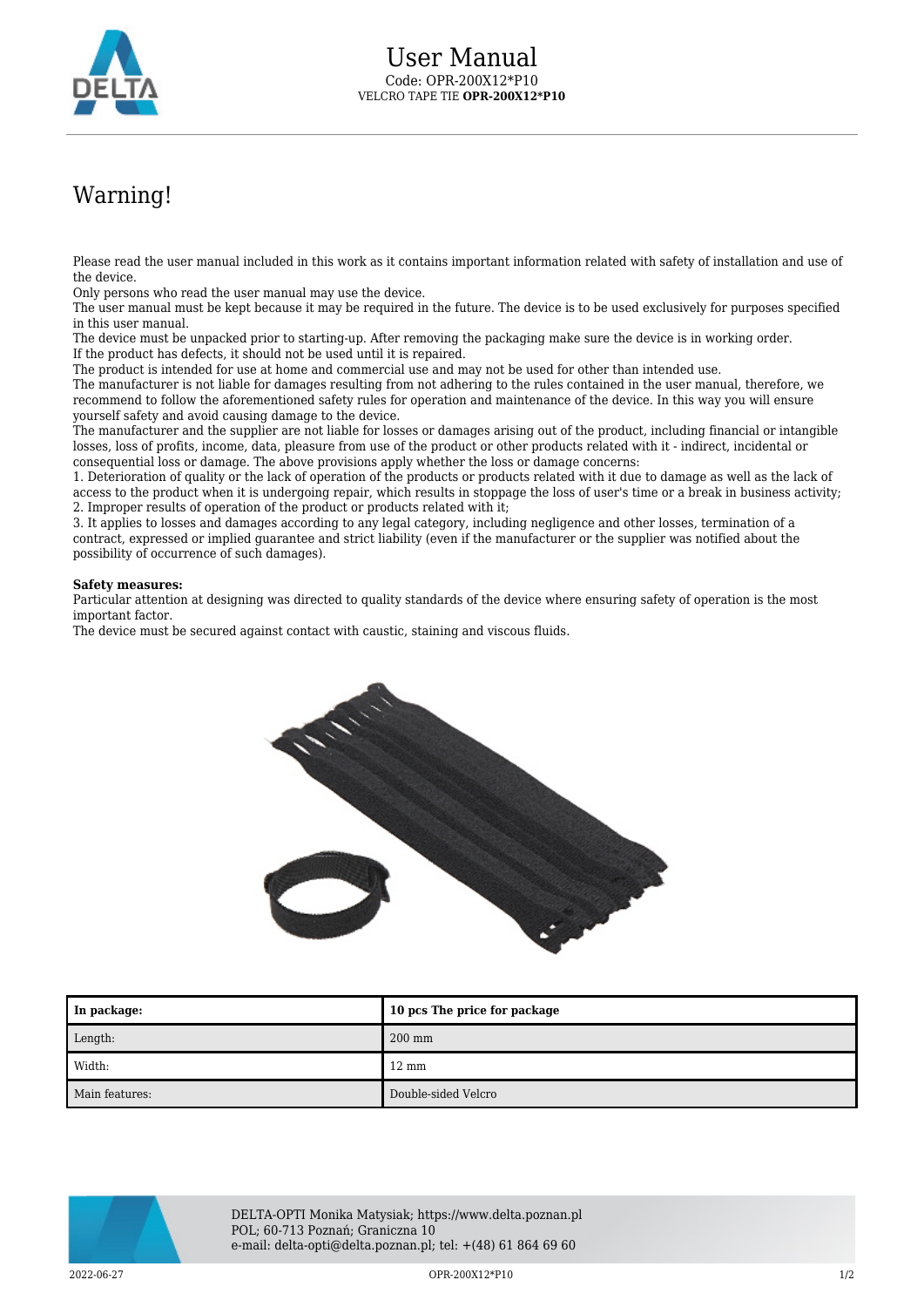

## Warning!

Please read the user manual included in this work as it contains important information related with safety of installation and use of the device.

Only persons who read the user manual may use the device.

The user manual must be kept because it may be required in the future. The device is to be used exclusively for purposes specified in this user manual.

The device must be unpacked prior to starting-up. After removing the packaging make sure the device is in working order. If the product has defects, it should not be used until it is repaired.

The product is intended for use at home and commercial use and may not be used for other than intended use.

The manufacturer is not liable for damages resulting from not adhering to the rules contained in the user manual, therefore, we recommend to follow the aforementioned safety rules for operation and maintenance of the device. In this way you will ensure yourself safety and avoid causing damage to the device.

The manufacturer and the supplier are not liable for losses or damages arising out of the product, including financial or intangible losses, loss of profits, income, data, pleasure from use of the product or other products related with it - indirect, incidental or consequential loss or damage. The above provisions apply whether the loss or damage concerns:

1. Deterioration of quality or the lack of operation of the products or products related with it due to damage as well as the lack of access to the product when it is undergoing repair, which results in stoppage the loss of user's time or a break in business activity; 2. Improper results of operation of the product or products related with it;

3. It applies to losses and damages according to any legal category, including negligence and other losses, termination of a contract, expressed or implied guarantee and strict liability (even if the manufacturer or the supplier was notified about the possibility of occurrence of such damages).

## **Safety measures:**

Particular attention at designing was directed to quality standards of the device where ensuring safety of operation is the most important factor.

The device must be secured against contact with caustic, staining and viscous fluids.



| In package:    | 10 pcs The price for package |
|----------------|------------------------------|
| Length:        | $200$ mm                     |
| Width:         | $12 \text{ mm}$              |
| Main features: | Double-sided Velcro          |



DELTA-OPTI Monika Matysiak; https://www.delta.poznan.pl POL; 60-713 Poznań; Graniczna 10 e-mail: delta-opti@delta.poznan.pl; tel: +(48) 61 864 69 60

 $2022-06-27$  and  $1/2$